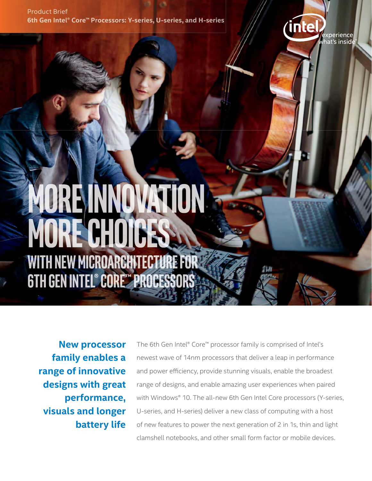Product Brief **6th Gen Intel® Core™ Processors: Y-series, U-series, and H-series**



# ORENNOVATIO MORE CHOICE **WITH NEW MICROARCHITECTURE FOR 6TH GEN INTEL® CORE™ PROCESSORS**

**New processor family enables a range of innovative designs with great performance, visuals and longer battery life**

The 6th Gen Intel® Core™ processor family is comprised of Intel's newest wave of 14nm processors that deliver a leap in performance and power efficiency, provide stunning visuals, enable the broadest range of designs, and enable amazing user experiences when paired with Windows® 10. The all-new 6th Gen Intel Core processors (Y-series, U-series, and H-series) deliver a new class of computing with a host of new features to power the next generation of 2 in 1s, thin and light clamshell notebooks, and other small form factor or mobile devices.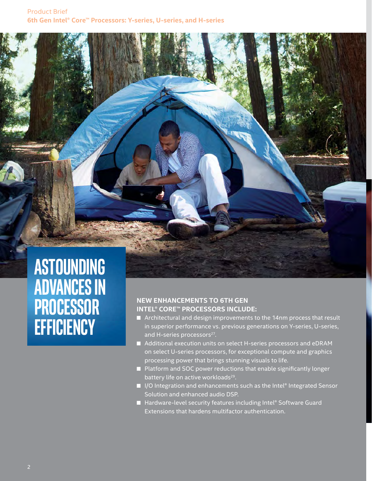## **ASTOUNDING ADVANCES IN PROCESSOR EFFICIENCY**

#### **NEW ENHANCEMENTS TO 6TH GEN INTEL® CORE™ PROCESSORS INCLUDE:**

- Architectural and design improvements to the 14nm process that result in superior performance vs. previous generations on Y-series, U-series, and H-series processors<sup>27</sup>.
- Additional execution units on select H-series processors and eDRAM on select U-series processors, for exceptional compute and graphics processing power that brings stunning visuals to life.
- $\blacksquare$  Platform and SOC power reductions that enable significantly longer battery life on active workloads<sup>29</sup>.
- I/O Integration and enhancements such as the Intel® Integrated Sensor Solution and enhanced audio DSP.
- Hardware-level security features including Intel® Software Guard Extensions that hardens multifactor authentication.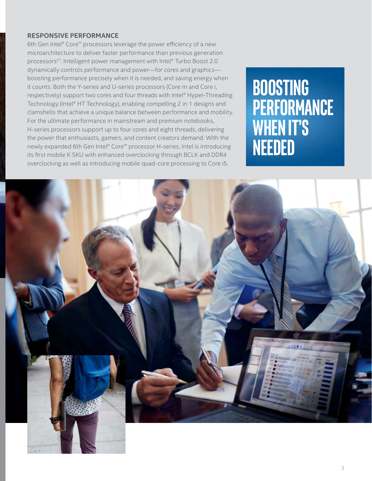#### **RESPONSIVE PERFORMANCE**

6th Gen Intel® Core™ processors leverage the power efficiency of a new microarchitecture to deliver faster performance than previous generation processors<sup>27</sup>. Intelligent power management with Intel® Turbo Boost 2.0 dynamically controls performance and power—for cores and graphics boosting performance precisely when it is needed, and saving energy when it counts. Both the Y-series and U-series processors (Core m and Core i, respectively) support two cores and four threads with Intel® Hyper-Threading Technology (Intel® HT Technology), enabling compelling 2 in 1 designs and clamshells that achieve a unique balance between performance and mobility. For the ultimate performance in mainstream and premium notebooks, H-series processors support up to four cores and eight threads, delivering the power that enthusiasts, gamers, and content creators demand. With the newly expanded 6th Gen Intel® Core™ processor H-series, Intel is introducing its first mobile K SKU with enhanced overclocking through BCLK and DDR4 overclocking as well as introducing mobile quad-core processing to Core i5.

## **BOOSTING PERFORMANCE WHEN IT'S NEEDED**

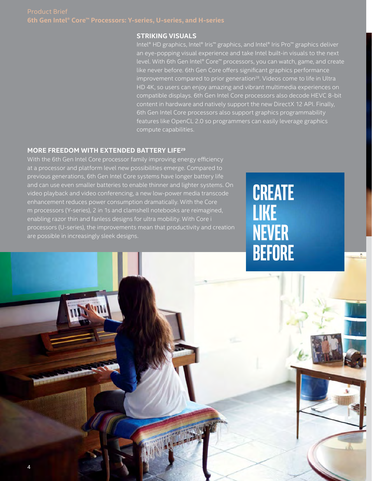## **6th Gen Intel® Core™ Processors: Y-series, U-series, and H-series**

#### **STRIKING VISUALS**

Intel® HD graphics, Intel® Iris™ graphics, and Intel® Iris Pro™ graphics deliver an eye-popping visual experience and take Intel built-in visuals to the next level. With 6th Gen Intel® Core™ processors, you can watch, game, and create like never before. 6th Gen Core offers significant graphics performance improvement compared to prior generation<sup>28</sup>. Videos come to life in Ultra HD 4K, so users can enjoy amazing and vibrant multimedia experiences on compatible displays. 6th Gen Intel Core processors also decode HEVC 8-bit content in hardware and natively support the new DirectX 12 API. Finally, 6th Gen Intel Core processors also support graphics programmability features like OpenCL 2.0 so programmers can easily leverage graphics compute capabilities.

#### **MORE FREEDOM WITH EXTENDED BATTERY LIFE29**

With the 6th Gen Intel Core processor family improving energy efficiency at a processor and platform level new possibilities emerge. Compared to previous generations, 6th Gen Intel Core systems have longer battery life and can use even smaller batteries to enable thinner and lighter systems. On video playback and video conferencing, a new low-power media transcode enhancement reduces power consumption dramatically. With the Core m processors (Y-series), 2 in 1s and clamshell notebooks are reimagined, enabling razor thin and fanless designs for ultra mobility. With Core i processors (U-series), the improvements mean that productivity and creation are possible in increasingly sleek designs.

**CREATE LIKE NEVER BEFORE**

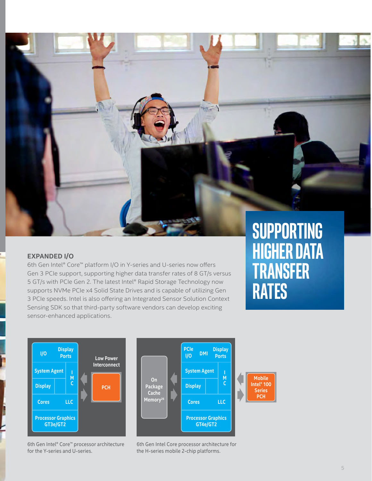

#### **EXPANDED I/O**

6th Gen Intel® Core™ platform I/O in Y-series and U-series now offers Gen 3 PCIe support, supporting higher data transfer rates of 8 GT/s versus 5 GT/s with PCIe Gen 2. The latest Intel® Rapid Storage Technology now supports NVMe PCIe x4 Solid State Drives and is capable of utilizing Gen 3 PCIe speeds. Intel is also offering an Integrated Sensor Solution Context Sensing SDK so that third-party software vendors can develop exciting sensor-enhanced applications.

## **SUPPORTING HIGHER DATA TRANSFER RATES**



6th Gen Intel® Core™ processor architecture for the Y-series and U-series.



6th Gen Intel Core processor architecture for the H-series mobile 2-chip platforms.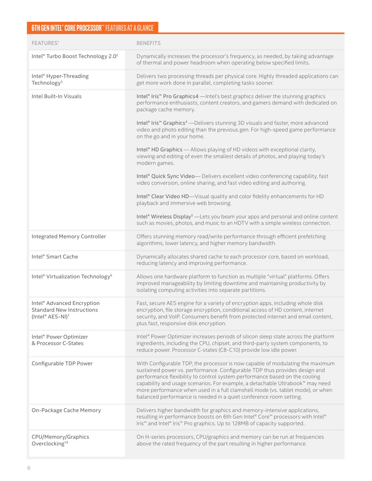## **6TH GEN INTEL® CORE PROCESSOR™ FEATURES AT A GLANCE**

| FEATURES <sup>1</sup>                                                                          | <b>BENEFITS</b>                                                                                                                                                                                                                                                                                                                                                                                                                                                                                                                                                                                                                                                                                                                                                                                                                                                                                                                                                                                 |
|------------------------------------------------------------------------------------------------|-------------------------------------------------------------------------------------------------------------------------------------------------------------------------------------------------------------------------------------------------------------------------------------------------------------------------------------------------------------------------------------------------------------------------------------------------------------------------------------------------------------------------------------------------------------------------------------------------------------------------------------------------------------------------------------------------------------------------------------------------------------------------------------------------------------------------------------------------------------------------------------------------------------------------------------------------------------------------------------------------|
| Intel® Turbo Boost Technology 2.0 <sup>2</sup>                                                 | Dynamically increases the processor's frequency, as needed, by taking advantage<br>of thermal and power headroom when operating below specified limits.                                                                                                                                                                                                                                                                                                                                                                                                                                                                                                                                                                                                                                                                                                                                                                                                                                         |
| Intel <sup>®</sup> Hyper-Threading<br>Technology <sup>3</sup>                                  | Delivers two processing threads per physical core. Highly threaded applications can<br>get more work done in parallel, completing tasks sooner.                                                                                                                                                                                                                                                                                                                                                                                                                                                                                                                                                                                                                                                                                                                                                                                                                                                 |
| Intel Built-In Visuals                                                                         | Intel® Iris <sup>™</sup> Pro Graphics4 - Intel's best graphics deliver the stunning graphics<br>performance enthusiasts, content creators, and gamers demand with dedicated on<br>package cache memory.<br>Intel® Iris™ Graphics <sup>4</sup> - Delivers stunning 3D visuals and faster, more advanced<br>video and photo editing than the previous gen. For high-speed game performance<br>on the go and in your home.<br>Intel® HD Graphics - Allows playing of HD videos with exceptional clarity,<br>viewing and editing of even the smallest details of photos, and playing today's<br>modern games.<br>Intel® Quick Sync Video-Delivers excellent video conferencing capability, fast<br>video conversion, online sharing, and fast video editing and authoring.<br>Intel® Clear Video HD-Visual quality and color fidelity enhancements for HD<br>playback and immersive web browsing.<br>Intel® Wireless Display <sup>5</sup> - Lets you beam your apps and personal and online content |
| <b>Integrated Memory Controller</b>                                                            | such as movies, photos, and music to an HDTV with a simple wireless connection.<br>Offers stunning memory read/write performance through efficient prefetching                                                                                                                                                                                                                                                                                                                                                                                                                                                                                                                                                                                                                                                                                                                                                                                                                                  |
|                                                                                                | algorithms, lower latency, and higher memory bandwidth.                                                                                                                                                                                                                                                                                                                                                                                                                                                                                                                                                                                                                                                                                                                                                                                                                                                                                                                                         |
| Intel® Smart Cache                                                                             | Dynamically allocates shared cache to each processor core, based on workload,<br>reducing latency and improving performance.                                                                                                                                                                                                                                                                                                                                                                                                                                                                                                                                                                                                                                                                                                                                                                                                                                                                    |
| Intel <sup>®</sup> Virtualization Technology <sup>6</sup>                                      | Allows one hardware platform to function as multiple "virtual" platforms. Offers<br>improved manageability by limiting downtime and maintaining productivity by<br>isolating computing activities into separate partitions.                                                                                                                                                                                                                                                                                                                                                                                                                                                                                                                                                                                                                                                                                                                                                                     |
| Intel <sup>®</sup> Advanced Encryption<br><b>Standard New Instructions</b><br>(Intel® AES-NI)7 | Fast, secure AES engine for a variety of encryption apps, including whole disk<br>encryption, file storage encryption, conditional access of HD content, internet<br>security, and VoIP. Consumers benefit from protected internet and email content,<br>plus fast, responsive disk encryption.                                                                                                                                                                                                                                                                                                                                                                                                                                                                                                                                                                                                                                                                                                 |
| Intel <sup>®</sup> Power Optimizer<br>& Processor C-States                                     | Intel® Power Optimizer increases periods of silicon sleep state across the platform<br>ingredients, including the CPU, chipset, and third-party system components, to<br>reduce power. Processor C-states (C8-C10) provide low idle power.                                                                                                                                                                                                                                                                                                                                                                                                                                                                                                                                                                                                                                                                                                                                                      |
| Configurable TDP Power                                                                         | With Configurable TDP, the processor is now capable of modulating the maximum<br>sustained power vs. performance. Configurable TDP thus provides design and<br>performance flexibility to control system performance based on the cooling<br>capability and usage scenarios. For example, a detachable Ultrabook™ may need<br>more performance when used in a full clamshell mode (vs. tablet mode), or when<br>balanced performance is needed in a quiet conference room setting.                                                                                                                                                                                                                                                                                                                                                                                                                                                                                                              |
| On-Package Cache Memory                                                                        | Delivers higher bandwidth for graphics and memory-intensive applications,<br>resulting in performance boosts on 6th Gen Intel® Core™ processors with Intel®<br>Iris™ and Intel® Iris™ Pro graphics. Up to 128MB of capacity supported.                                                                                                                                                                                                                                                                                                                                                                                                                                                                                                                                                                                                                                                                                                                                                          |
| CPU/Memory/Graphics<br>Overclocking <sup>19</sup>                                              | On H-series processors, CPU/graphics and memory can be run at frequencies<br>above the rated frequency of the part resulting in higher performance.                                                                                                                                                                                                                                                                                                                                                                                                                                                                                                                                                                                                                                                                                                                                                                                                                                             |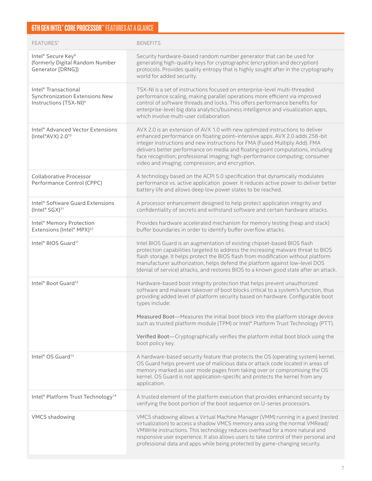## **6TH GEN INTEL® CORE PROCESSOR™ FEATURES AT A GLANCE**

| FEATURES <sup>1</sup>                                                                                    | <b>BENEFITS</b>                                                                                                                                                                                                                                                                                                                                                                                                                                                                                                                                     |
|----------------------------------------------------------------------------------------------------------|-----------------------------------------------------------------------------------------------------------------------------------------------------------------------------------------------------------------------------------------------------------------------------------------------------------------------------------------------------------------------------------------------------------------------------------------------------------------------------------------------------------------------------------------------------|
| Intel® Secure Key <sup>8</sup><br>(formerly Digital Random Number<br>Generator [DRNG])                   | Security hardware-based random number generator that can be used for<br>generating high-quality keys for cryptographic (encryption and decryption)<br>protocols. Provides quality entropy that is highly sought after in the cryptography<br>world for added security.                                                                                                                                                                                                                                                                              |
| Intel <sup>®</sup> Transactional<br>Synchronization Extensions New<br>Instructions (TSX-NI) <sup>9</sup> | TSX-NI is a set of instructions focused on enterprise-level multi-threaded<br>performance scaling, making parallel operations more efficient via improved<br>control of software threads and locks. This offers performance benefits for<br>enterprise-level big data analytics/business intelligence and visualization apps,<br>which involve multi-user collaboration.                                                                                                                                                                            |
| Intel <sup>®</sup> Advanced Vector Extensions<br>(Intel®AVX) 2.0 <sup>10</sup>                           | AVX 2.0 is an extension of AVX 1.0 with new optimized instructions to deliver<br>enhanced performance on floating point-intensive apps. AVX 2.0 adds 256-bit<br>integer instructions and new instructions for FMA (Fused Multiply Add). FMA<br>delivers better performance on media and floating point computations, including<br>face recognition; professional imaging; high-performance computing; consumer<br>video and imaging; compression; and encryption.                                                                                   |
| Collaborative Processor<br>Performance Control (CPPC)                                                    | A technology based on the ACPI 5.0 specification that dynamically modulates<br>performance vs. active application power. It reduces active power to deliver better<br>battery life and allows deep low power states to be reached.                                                                                                                                                                                                                                                                                                                  |
| Intel® Software Guard Extensions<br>(Intel® SGX) <sup>31</sup>                                           | A processor enhancement designed to help protect application integrity and<br>confidentiality of secrets and withstand software and certain hardware attacks.                                                                                                                                                                                                                                                                                                                                                                                       |
| Intel <sup>®</sup> Memory Protection<br>Extensions (Intel® MPX) <sup>32</sup>                            | Provides hardware accelerated mechanism for memory testing (heap and stack)<br>buffer boundaries in order to identify buffer overflow attacks.                                                                                                                                                                                                                                                                                                                                                                                                      |
| Intel® BIOS Guard <sup>11</sup>                                                                          | Intel BIOS Guard is an augmentation of existing chipset-based BIOS flash<br>protection capabilities targeted to address the increasing malware threat to BIOS<br>flash storage. It helps protect the BIOS flash from modification without platform<br>manufacturer authorization, helps defend the platform against low-level DOS<br>(denial of service) attacks, and restores BIOS to a known good state after an attack.                                                                                                                          |
| Intel® Boot Guard <sup>12</sup>                                                                          | Hardware-based boot integrity protection that helps prevent unauthorized<br>software and malware takeover of boot blocks critical to a system's function, thus<br>providing added level of platform security based on hardware. Configurable boot<br>types include:<br>Measured Boot-Measures the initial boot block into the platform storage device<br>such as trusted platform module (TPM) or Intel® Platform Trust Technology (PTT).<br>Verified Boot-Cryptographically verifies the platform initial boot block using the<br>boot policy key. |
| Intel® OS Guard <sup>13</sup>                                                                            | A hardware-based security feature that protects the OS (operating system) kernel.<br>OS Guard helps prevent use of malicious data or attack code located in areas of<br>memory marked as user mode pages from taking over or compromising the OS<br>kernel. OS Guard is not application-specific and protects the kernel from any<br>application.                                                                                                                                                                                                   |
| Intel® Platform Trust Technology <sup>14</sup>                                                           | A trusted element of the platform execution that provides enhanced security by<br>verifying the boot portion of the boot sequence on U-series processors.                                                                                                                                                                                                                                                                                                                                                                                           |
| <b>VMCS</b> shadowing                                                                                    | VMCS shadowing allows a Virtual Machine Manager (VMM) running in a guest (nested<br>virtualization) to access a shadow VMCS memory area using the normal VMRead/<br>VMWrite instructions. This technology reduces overhead for a more natural and<br>responsive user experience. It also allows users to take control of their personal and<br>professional data and apps while being protected by game-changing security.                                                                                                                          |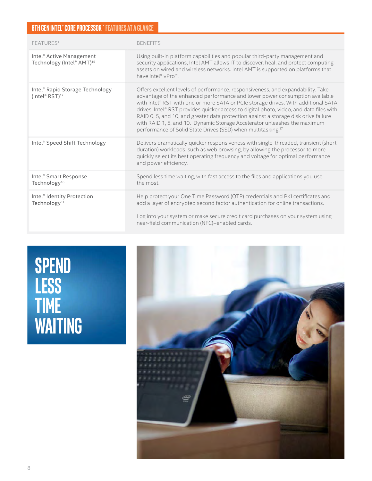### **6TH GEN INTEL® CORE PROCESSOR™ FEATURES AT A GLANCE**

| FEATURES <sup>1</sup>                                                         | <b>BENEFITS</b>                                                                                                                                                                                                                                                                                                                                                                                                                                                                                                                                                                                 |
|-------------------------------------------------------------------------------|-------------------------------------------------------------------------------------------------------------------------------------------------------------------------------------------------------------------------------------------------------------------------------------------------------------------------------------------------------------------------------------------------------------------------------------------------------------------------------------------------------------------------------------------------------------------------------------------------|
| Intel <sup>®</sup> Active Management<br>Technology (Intel® AMT) <sup>15</sup> | Using built-in platform capabilities and popular third-party management and<br>security applications, Intel AMT allows IT to discover, heal, and protect computing<br>assets on wired and wireless networks. Intel AMT is supported on platforms that<br>have Intel® vPro™.                                                                                                                                                                                                                                                                                                                     |
| Intel® Rapid Storage Technology<br>(Intel® RST) <sup>17</sup>                 | Offers excellent levels of performance, responsiveness, and expandability. Take<br>advantage of the enhanced performance and lower power consumption available<br>with Intel® RST with one or more SATA or PCIe storage drives. With additional SATA<br>drives, Intel® RST provides quicker access to digital photo, video, and data files with<br>RAID 0, 5, and 10, and greater data protection against a storage disk drive failure<br>with RAID 1, 5, and 10. Dynamic Storage Accelerator unleashes the maximum<br>performance of Solid State Drives (SSD) when multitasking. <sup>17</sup> |
| Intel® Speed Shift Technology                                                 | Delivers dramatically quicker responsiveness with single-threaded, transient (short<br>duration) workloads, such as web browsing, by allowing the processor to more<br>quickly select its best operating frequency and voltage for optimal performance<br>and power efficiency.                                                                                                                                                                                                                                                                                                                 |
| Intel <sup>®</sup> Smart Response<br>Technology <sup>18</sup>                 | Spend less time waiting, with fast access to the files and applications you use<br>the most.                                                                                                                                                                                                                                                                                                                                                                                                                                                                                                    |
| Intel <sup>®</sup> Identity Protection<br>Technology <sup>21</sup>            | Help protect your One Time Password (OTP) credentials and PKI certificates and<br>add a layer of encrypted second factor authentication for online transactions.<br>Log into your system or make secure credit card purchases on your system using<br>near-field communication (NFC)-enabled cards.                                                                                                                                                                                                                                                                                             |

## **SPEND LESS TIME WAITING**

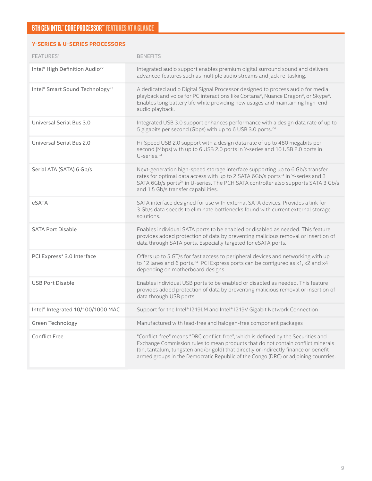#### **Y-SERIES & U-SERIES PROCESSORS**

| FEATURES <sup>1</sup>                                   | <b>BENEFITS</b>                                                                                                                                                                                                                                                                                                                                     |
|---------------------------------------------------------|-----------------------------------------------------------------------------------------------------------------------------------------------------------------------------------------------------------------------------------------------------------------------------------------------------------------------------------------------------|
| Intel <sup>®</sup> High Definition Audio <sup>22</sup>  | Integrated audio support enables premium digital surround sound and delivers<br>advanced features such as multiple audio streams and jack re-tasking.                                                                                                                                                                                               |
| Intel <sup>®</sup> Smart Sound Technology <sup>23</sup> | A dedicated audio Digital Signal Processor designed to process audio for media<br>playback and voice for PC interactions like Cortana*, Nuance Dragon*, or Skype*.<br>Enables long battery life while providing new usages and maintaining high-end<br>audio playback.                                                                              |
| Universal Serial Bus 3.0                                | Integrated USB 3.0 support enhances performance with a design data rate of up to<br>5 gigabits per second (Gbps) with up to 6 USB 3.0 ports. <sup>24</sup>                                                                                                                                                                                          |
| Universal Serial Bus 2.0                                | Hi-Speed USB 2.0 support with a design data rate of up to 480 megabits per<br>second (Mbps) with up to 6 USB 2.0 ports in Y-series and 10 USB 2.0 ports in<br>U-series. <sup>24</sup>                                                                                                                                                               |
| Serial ATA (SATA) 6 Gb/s                                | Next-generation high-speed storage interface supporting up to 6 Gb/s transfer<br>rates for optimal data access with up to 2 SATA 6Gb/s ports <sup>24</sup> in Y-series and 3<br>SATA 6Gb/s ports <sup>24</sup> in U-series. The PCH SATA controller also supports SATA 3 Gb/s<br>and 1.5 Gb/s transfer capabilities.                                |
| eSATA                                                   | SATA interface designed for use with external SATA devices. Provides a link for<br>3 Gb/s data speeds to eliminate bottlenecks found with current external storage<br>solutions.                                                                                                                                                                    |
| <b>SATA Port Disable</b>                                | Enables individual SATA ports to be enabled or disabled as needed. This feature<br>provides added protection of data by preventing malicious removal or insertion of<br>data through SATA ports. Especially targeted for eSATA ports.                                                                                                               |
| PCI Express* 3.0 Interface                              | Offers up to 5 GT/s for fast access to peripheral devices and networking with up<br>to 12 lanes and 6 ports. <sup>24</sup> PCI Express ports can be configured as x1, x2 and x4<br>depending on motherboard designs.                                                                                                                                |
| <b>USB Port Disable</b>                                 | Enables individual USB ports to be enabled or disabled as needed. This feature<br>provides added protection of data by preventing malicious removal or insertion of<br>data through USB ports.                                                                                                                                                      |
| Intel <sup>®</sup> Integrated 10/100/1000 MAC           | Support for the Intel® I219LM and Intel® I219V Gigabit Network Connection                                                                                                                                                                                                                                                                           |
| Green Technology                                        | Manufactured with lead-free and halogen-free component packages                                                                                                                                                                                                                                                                                     |
| <b>Conflict Free</b>                                    | "Conflict-free" means "DRC conflict-free", which is defined by the Securities and<br>Exchange Commission rules to mean products that do not contain conflict minerals<br>(tin, tantalum, tungsten and/or gold) that directly or indirectly finance or benefit<br>armed groups in the Democratic Republic of the Congo (DRC) or adjoining countries. |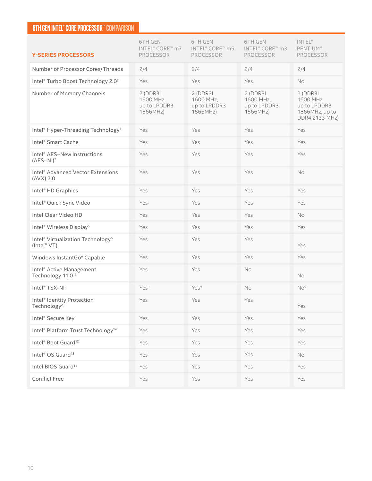### **6TH GEN INTEL® CORE PROCESSOR™ COMPARISON**

| <b>Y-SERIES PROCESSORS</b>                                               | <b>6TH GEN</b><br>INTEL® CORE™ m7<br><b>PROCESSOR</b> | 6TH GEN<br>INTEL® CORE™ m5<br>PROCESSOR           | 6TH GEN<br>INTEL® CORE™ m3<br>PROCESSOR           | <b>INTEL®</b><br><b>PENTIUM®</b><br>PROCESSOR                              |
|--------------------------------------------------------------------------|-------------------------------------------------------|---------------------------------------------------|---------------------------------------------------|----------------------------------------------------------------------------|
| Number of Processor Cores/Threads                                        | 2/4                                                   | 2/4                                               | 2/4                                               | 2/4                                                                        |
| Intel® Turbo Boost Technology 2.0 <sup>2</sup>                           | Yes                                                   | Yes                                               | Yes                                               | No                                                                         |
| Number of Memory Channels                                                | 2 (DDR3L<br>1600 MHz,<br>up to LPDDR3<br>1866MHz)     | 2 (DDR3L<br>1600 MHz,<br>up to LPDDR3<br>1866MHz) | 2 (DDR3L<br>1600 MHz,<br>up to LPDDR3<br>1866MHz) | 2 (DDR3L)<br>1600 MHz,<br>up to LPDDR3<br>1866MHz, up to<br>DDR4 2133 MHz) |
| Intel® Hyper-Threading Technology <sup>3</sup>                           | Yes                                                   | Yes                                               | Yes                                               | Yes                                                                        |
| Intel® Smart Cache                                                       | Yes                                                   | Yes                                               | Yes                                               | Yes                                                                        |
| Intel® AES-New Instructions<br>$(AES-NI)7$                               | Yes                                                   | Yes                                               | Yes                                               | Yes                                                                        |
| Intel <sup>®</sup> Advanced Vector Extensions<br>$(AVX)$ 2.0             | Yes                                                   | Yes                                               | Yes                                               | No                                                                         |
| Intel <sup>®</sup> HD Graphics                                           | Yes                                                   | Yes                                               | Yes                                               | Yes                                                                        |
| Intel® Quick Sync Video                                                  | Yes                                                   | Yes                                               | Yes                                               | Yes                                                                        |
| Intel Clear Video HD                                                     | Yes                                                   | Yes                                               | Yes                                               | No                                                                         |
| Intel <sup>®</sup> Wireless Display <sup>5</sup>                         | Yes                                                   | Yes                                               | Yes                                               | Yes                                                                        |
| Intel <sup>®</sup> Virtualization Technology <sup>6</sup><br>(Intel® VT) | Yes                                                   | Yes                                               | Yes                                               | Yes                                                                        |
| Windows InstantGo* Capable                                               | Yes                                                   | Yes                                               | Yes                                               | Yes                                                                        |
| Intel <sup>®</sup> Active Management<br>Technology 11.0 <sup>15</sup>    | Yes                                                   | Yes                                               | No                                                | <b>No</b>                                                                  |
| Intel® TSX-NI <sup>9</sup>                                               | Yes <sup>9</sup>                                      | Yes <sup>9</sup>                                  | No                                                | No <sup>9</sup>                                                            |
| Intel <sup>®</sup> Identity Protection<br>Technology <sup>21</sup>       | Yes                                                   | Yes                                               | Yes                                               | Yes                                                                        |
| Intel® Secure Key <sup>8</sup>                                           | Yes                                                   | Yes                                               | Yes                                               | Yes                                                                        |
| Intel® Platform Trust Technology <sup>14</sup>                           | Yes                                                   | Yes                                               | Yes                                               | Yes                                                                        |
| Intel <sup>®</sup> Boot Guard <sup>12</sup>                              | Yes                                                   | Yes                                               | Yes                                               | Yes                                                                        |
| Intel <sup>®</sup> OS Guard <sup>13</sup>                                | Yes                                                   | Yes                                               | Yes                                               | No                                                                         |
| Intel BIOS Guard <sup>11</sup>                                           | Yes                                                   | Yes                                               | Yes                                               | Yes                                                                        |
| <b>Conflict Free</b>                                                     | Yes                                                   | Yes                                               | Yes                                               | Yes                                                                        |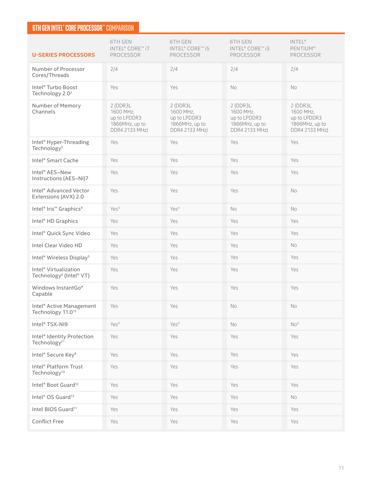### **6TH GEN INTEL® CORE PROCESSOR™ COMPARISON**

| <b>U-SERIES PROCESSORS</b>                                               | 6TH GEN<br>INTEL® CORE™ i7<br>PROCESSOR                                    | 6TH GEN<br>INTEL <sup>®</sup> CORE™ i5<br>PROCESSOR                        | 6TH GEN<br>INTEL® CORE™ i3<br><b>PROCESSOR</b>                            | INTEL®<br><b>PENTIUM®</b><br><b>PROCESSOR</b>                              |
|--------------------------------------------------------------------------|----------------------------------------------------------------------------|----------------------------------------------------------------------------|---------------------------------------------------------------------------|----------------------------------------------------------------------------|
| Number of Processor<br>Cores/Threads                                     | 2/4                                                                        | 2/4                                                                        | 2/4                                                                       | 2/4                                                                        |
| Intel <sup>®</sup> Turbo Boost<br>Technology 2.0 <sup>2</sup>            | Yes                                                                        | Yes                                                                        | No                                                                        | No                                                                         |
| Number of Memory<br>Channels                                             | 2 (DDR3L)<br>1600 MHz,<br>up to LPDDR3<br>1866MHz, up to<br>DDR4 2133 MHz) | 2 (DDR3L)<br>1600 MHz,<br>up to LPDDR3<br>1866MHz, up to<br>DDR4 2133 MHz) | 2 (DDR3L<br>1600 MHz,<br>up to LPDDR3<br>1866MHz, up to<br>DDR4 2133 MHz) | 2 (DDR3L)<br>1600 MHz,<br>up to LPDDR3<br>1866MHz, up to<br>DDR4 2133 MHz) |
| Intel <sup>®</sup> Hyper-Threading<br>Technology <sup>3</sup>            | Yes                                                                        | Yes                                                                        | Yes                                                                       | Yes                                                                        |
| Intel <sup>®</sup> Smart Cache                                           | Yes                                                                        | Yes                                                                        | Yes                                                                       | Yes                                                                        |
| Intel <sup>®</sup> AES-New<br>Instructions (AES-NI)7                     | Yes                                                                        | Yes                                                                        | Yes                                                                       | Yes                                                                        |
| Intel <sup>®</sup> Advanced Vector<br>Extensions (AVX) 2.0               | Yes                                                                        | Yes                                                                        | Yes                                                                       | <b>No</b>                                                                  |
| Intel <sup>®</sup> Iris <sup>™</sup> Graphics <sup>4</sup>               | Yes <sup>4</sup>                                                           | Yes <sup>4</sup>                                                           | No                                                                        | No                                                                         |
| Intel <sup>®</sup> HD Graphics                                           | Yes                                                                        | Yes                                                                        | Yes                                                                       | Yes                                                                        |
| Intel® Quick Sync Video                                                  | Yes                                                                        | Yes                                                                        | Yes                                                                       | Yes                                                                        |
| Intel Clear Video HD                                                     | Yes                                                                        | Yes                                                                        | Yes                                                                       | No                                                                         |
| Intel <sup>®</sup> Wireless Display <sup>5</sup>                         | Yes                                                                        | Yes                                                                        | Yes                                                                       | Yes                                                                        |
| Intel <sup>®</sup> Virtualization<br>Technology <sup>6</sup> (Intel® VT) | Yes                                                                        | Yes                                                                        | Yes                                                                       | Yes                                                                        |
| Windows InstantGo*<br>Capable                                            | Yes                                                                        | Yes                                                                        | Yes                                                                       | Yes                                                                        |
| Intel <sup>®</sup> Active Management<br>Technology 11.0 <sup>15</sup>    | Yes                                                                        | Yes                                                                        | No                                                                        | No.                                                                        |
| Intel® TSX-NI9                                                           | Yes <sup>9</sup>                                                           | Yes <sup>9</sup>                                                           | No                                                                        | No <sup>9</sup>                                                            |
| Intel <sup>®</sup> Identity Protection<br>Technology <sup>21</sup>       | Yes                                                                        | Yes                                                                        | Yes                                                                       | Yes                                                                        |
| Intel® Secure Key <sup>8</sup>                                           | Yes                                                                        | Yes                                                                        | Yes                                                                       | Yes                                                                        |
| Intel <sup>®</sup> Platform Trust<br>Technology <sup>14</sup>            | Yes                                                                        | Yes                                                                        | Yes                                                                       | Yes                                                                        |
| Intel <sup>®</sup> Boot Guard <sup>12</sup>                              | Yes                                                                        | Yes                                                                        | Yes                                                                       | Yes                                                                        |
| Intel <sup>®</sup> OS Guard <sup>13</sup>                                | Yes                                                                        | Yes                                                                        | Yes                                                                       | No                                                                         |
| Intel BIOS Guard <sup>11</sup>                                           | Yes                                                                        | Yes                                                                        | Yes                                                                       | Yes                                                                        |
| <b>Conflict Free</b>                                                     | Yes                                                                        | Yes                                                                        | Yes                                                                       | Yes                                                                        |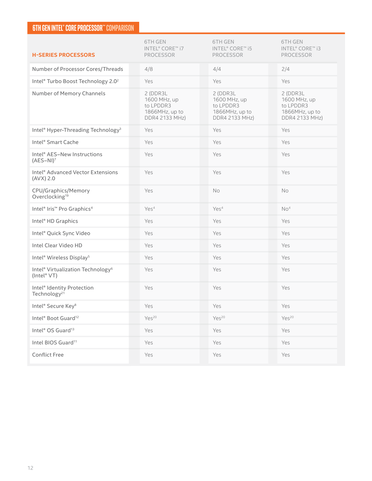### **6TH GEN INTEL® CORE PROCESSOR™ COMPARISON**

| <b>H-SERIES PROCESSORS</b>                                               | <b>6TH GEN</b><br>INTEL® CORE™ i7<br><b>PROCESSOR</b>                             | 6TH GEN<br>INTEL® CORE™ i5<br><b>PROCESSOR</b>                             | <b>6TH GEN</b><br>INTEL® CORE™ i3<br><b>PROCESSOR</b>                             |
|--------------------------------------------------------------------------|-----------------------------------------------------------------------------------|----------------------------------------------------------------------------|-----------------------------------------------------------------------------------|
| Number of Processor Cores/Threads                                        | 4/8                                                                               | 4/4                                                                        | 2/4                                                                               |
| Intel® Turbo Boost Technology 2.0 <sup>2</sup>                           | Yes                                                                               | Yes                                                                        | Yes                                                                               |
| Number of Memory Channels                                                | 2 (DDR3L)<br>1600 MHz, up<br>to LPDDR3<br>1866MHz, up to<br><b>DDR4 2133 MHz)</b> | 2 (DDR3L)<br>1600 MHz, up<br>to LPDDR3<br>1866MHz, up to<br>DDR4 2133 MHz) | 2 (DDR3L)<br>1600 MHz, up<br>to LPDDR3<br>1866MHz, up to<br><b>DDR4 2133 MHz)</b> |
| Intel® Hyper-Threading Technology <sup>3</sup>                           | Yes                                                                               | Yes                                                                        | Yes                                                                               |
| Intel® Smart Cache                                                       | Yes                                                                               | Yes                                                                        | Yes                                                                               |
| Intel® AES-New Instructions<br>$(AES-NI)7$                               | Yes                                                                               | Yes                                                                        | Yes                                                                               |
| Intel® Advanced Vector Extensions<br>$(AVX)$ 2.0                         | Yes                                                                               | Yes                                                                        | Yes                                                                               |
| CPU/Graphics/Memory<br>Overclocking <sup>19</sup>                        | Yes                                                                               | No                                                                         | No                                                                                |
| Intel® Iris™ Pro Graphics <sup>4</sup>                                   | Yes <sup>4</sup>                                                                  | Yes <sup>4</sup>                                                           | No <sup>4</sup>                                                                   |
| Intel <sup>®</sup> HD Graphics                                           | Yes                                                                               | Yes                                                                        | Yes                                                                               |
| Intel® Quick Sync Video                                                  | Yes                                                                               | Yes                                                                        | Yes                                                                               |
| Intel Clear Video HD                                                     | Yes                                                                               | Yes                                                                        | Yes                                                                               |
| Intel <sup>®</sup> Wireless Display <sup>5</sup>                         | Yes                                                                               | Yes                                                                        | Yes                                                                               |
| Intel <sup>®</sup> Virtualization Technology <sup>6</sup><br>(Intel® VT) | Yes                                                                               | Yes                                                                        | Yes                                                                               |
| Intel <sup>®</sup> Identity Protection<br>Technology <sup>21</sup>       | Yes                                                                               | Yes                                                                        | Yes                                                                               |
| Intel® Secure Key <sup>8</sup>                                           | Yes                                                                               | Yes                                                                        | Yes                                                                               |
| Intel® Boot Guard <sup>12</sup>                                          | Yes <sup>20</sup>                                                                 | Yes <sup>20</sup>                                                          | Yes <sup>20</sup>                                                                 |
| Intel <sup>®</sup> OS Guard <sup>13</sup>                                | Yes                                                                               | Yes                                                                        | Yes                                                                               |
| Intel BIOS Guard <sup>11</sup>                                           | Yes                                                                               | Yes                                                                        | Yes                                                                               |
| <b>Conflict Free</b>                                                     | Yes                                                                               | Yes                                                                        | Yes                                                                               |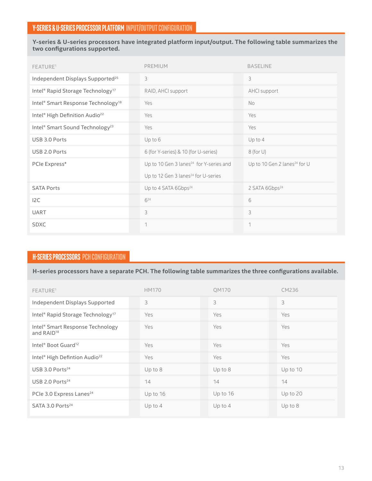**Y-series & U-series processors have integrated platform input/output. The following table summarizes the**  two configurations supported.

| FEATURE <sup>1</sup>                                   | <b>PREMIUM</b>                                      | <b>BASELINE</b>                          |
|--------------------------------------------------------|-----------------------------------------------------|------------------------------------------|
| Independent Displays Supported <sup>25</sup>           | 3                                                   | 3                                        |
| Intel® Rapid Storage Technology <sup>17</sup>          | RAID, AHCI support                                  | AHCI support                             |
| Intel® Smart Response Technology <sup>18</sup>         | Yes                                                 | No                                       |
| Intel <sup>®</sup> High Definition Audio <sup>22</sup> | Yes                                                 | Yes                                      |
| Intel® Smart Sound Technology <sup>23</sup>            | Yes                                                 | Yes                                      |
| USB 3.0 Ports                                          | Up to 6                                             | Up to 4                                  |
| USB 2.0 Ports                                          | 6 (for Y-series) & 10 (for U-series)                | $8$ (for U)                              |
| PCIe Express*                                          | Up to 10 Gen 3 lanes <sup>24</sup> for Y-series and | Up to 10 Gen 2 lanes <sup>24</sup> for U |
|                                                        | Up to 12 Gen 3 lanes <sup>24</sup> for U-series     |                                          |
| <b>SATA Ports</b>                                      | Up to 4 SATA 6Gbps <sup>24</sup>                    | 2 SATA 6Gbps <sup>24</sup>               |
| I <sub>2</sub> C                                       | $6^{24}$                                            | 6                                        |
| <b>UART</b>                                            | 3                                                   | 3                                        |
| <b>SDXC</b>                                            | 1                                                   | $\mathbf{1}$                             |

### **H-SERIES PROCESSORS PCH CONFIGURATION**

H-series processors have a separate PCH. The following table summarizes the three configurations available.

| FEATURE <sup>1</sup>                                       | <b>HM170</b> | <b>OM170</b> | CM236     |
|------------------------------------------------------------|--------------|--------------|-----------|
| Independent Displays Supported                             | 3            | 3            | 3         |
| Intel® Rapid Storage Technology <sup>17</sup>              | Yes          | Yes          | Yes       |
| Intel® Smart Response Technology<br>and RAID <sup>18</sup> | Yes          | Yes          | Yes       |
| Intel <sup>®</sup> Boot Guard <sup>12</sup>                | Yes          | Yes          | Yes       |
| Intel <sup>®</sup> High Defintion Audio <sup>22</sup>      | Yes          | Yes          | Yes       |
| USB 3.0 Ports <sup>24</sup>                                | Up to $8$    | Up to 8      | Up to 10  |
| USB 2.0 Ports <sup>24</sup>                                | 14           | 14           | 14        |
| PCIe 3.0 Express Lanes <sup>24</sup>                       | Up to 16     | Up to 16     | Up to 20  |
| SATA 3.0 Ports <sup>24</sup>                               | Up to $4$    | Up to $4$    | Up to $8$ |